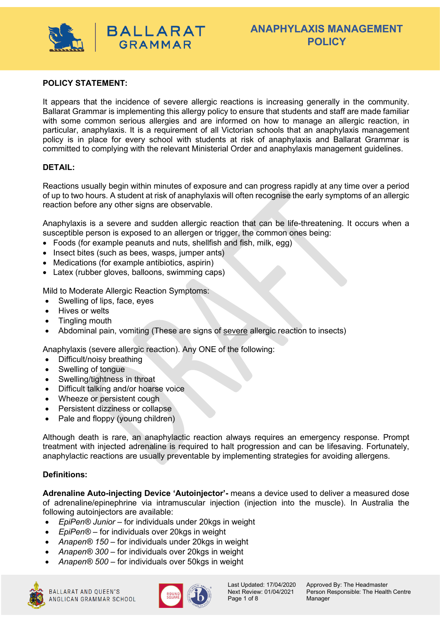

# **ANAPHYLAXIS MANAGEMENT POLICY**

#### **POLICY STATEMENT:**

It appears that the incidence of severe allergic reactions is increasing generally in the community. Ballarat Grammar is implementing this allergy policy to ensure that students and staff are made familiar with some common serious allergies and are informed on how to manage an allergic reaction, in particular, anaphylaxis. It is a requirement of all Victorian schools that an anaphylaxis management policy is in place for every school with students at risk of anaphylaxis and Ballarat Grammar is committed to complying with the relevant Ministerial Order and anaphylaxis management guidelines.

#### **DETAIL:**

Reactions usually begin within minutes of exposure and can progress rapidly at any time over a period of up to two hours. A student at risk of anaphylaxis will often recognise the early symptoms of an allergic reaction before any other signs are observable.

Anaphylaxis is a severe and sudden allergic reaction that can be life-threatening. It occurs when a susceptible person is exposed to an allergen or trigger, the common ones being:

• Foods (for example peanuts and nuts, shellfish and fish, milk, egg)

**BALLARAT GRAMMAR** 

- Insect bites (such as bees, wasps, jumper ants)
- Medications (for example antibiotics, aspirin)
- Latex (rubber gloves, balloons, swimming caps)

Mild to Moderate Allergic Reaction Symptoms:

- Swelling of lips, face, eyes
- Hives or welts
- Tingling mouth
- Abdominal pain, vomiting (These are signs of severe allergic reaction to insects)

Anaphylaxis (severe allergic reaction). Any ONE of the following:

- Difficult/noisy breathing
- Swelling of tongue
- Swelling/tightness in throat
- Difficult talking and/or hoarse voice
- Wheeze or persistent cough
- Persistent dizziness or collapse
- Pale and floppy (young children)

Although death is rare, an anaphylactic reaction always requires an emergency response. Prompt treatment with injected adrenaline is required to halt progression and can be lifesaving. Fortunately, anaphylactic reactions are usually preventable by implementing strategies for avoiding allergens.

#### **Definitions:**

**Adrenaline Auto-injecting Device 'Autoinjector'-** means a device used to deliver a measured dose of adrenaline/epinephrine via intramuscular injection (injection into the muscle). In Australia the following autoinjectors are available:

- *EpiPen® Junior* for individuals under 20kgs in weight
- *EpiPen®*  for individuals over 20kgs in weight
- *Anapen® 150* for individuals under 20kgs in weight
- *Anapen® 300*  for individuals over 20kgs in weight
- *Anapen® 500*  for individuals over 50kgs in weight





Page 1 of 8 Manager

Last Updated: 17/04/2020 Approved By: The Headmaster Next Review: 01/04/2021 Person Responsible: The Health Centre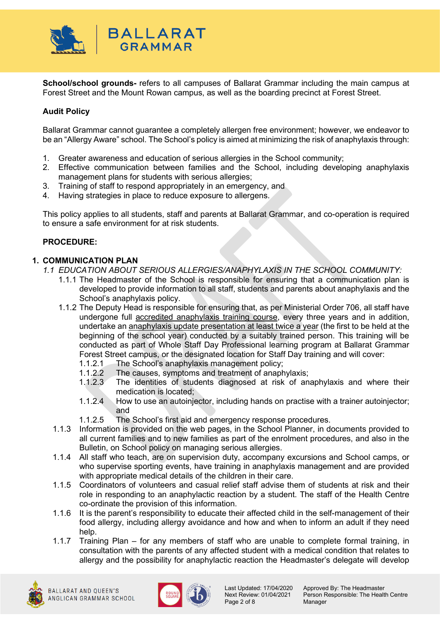

**School/school grounds-** refers to all campuses of Ballarat Grammar including the main campus at Forest Street and the Mount Rowan campus, as well as the boarding precinct at Forest Street.

# **Audit Policy**

Ballarat Grammar cannot guarantee a completely allergen free environment; however, we endeavor to be an "Allergy Aware" school. The School's policy is aimed at minimizing the risk of anaphylaxis through:

- 1. Greater awareness and education of serious allergies in the School community;
- 2. Effective communication between families and the School, including developing anaphylaxis management plans for students with serious allergies;
- 3. Training of staff to respond appropriately in an emergency, and
- 4. Having strategies in place to reduce exposure to allergens.

This policy applies to all students, staff and parents at Ballarat Grammar, and co-operation is required to ensure a safe environment for at risk students.

#### **PROCEDURE:**

#### **1. COMMUNICATION PLAN**

- *1.1 EDUCATION ABOUT SERIOUS ALLERGIES/ANAPHYLAXIS IN THE SCHOOL COMMUNITY:*
	- 1.1.1 The Headmaster of the School is responsible for ensuring that a communication plan is developed to provide information to all staff, students and parents about anaphylaxis and the School's anaphylaxis policy.
	- 1.1.2 The Deputy Head is responsible for ensuring that, as per Ministerial Order 706, all staff have undergone full accredited anaphylaxis training course, every three years and in addition, undertake an anaphylaxis update presentation at least twice a year (the first to be held at the beginning of the school year) conducted by a suitably trained person. This training will be conducted as part of Whole Staff Day Professional learning program at Ballarat Grammar Forest Street campus, or the designated location for Staff Day training and will cover:
		- 1.1.2.1 The School's anaphylaxis management policy;
		- 1.1.2.2 The causes, symptoms and treatment of anaphylaxis;<br>1.1.2.3 The identities of students diagnosed at risk of an
		- The identities of students diagnosed at risk of anaphylaxis and where their medication is located;
		- 1.1.2.4 How to use an autoinjector, including hands on practise with a trainer autoinjector; and
		- 1.1.2.5 The School's first aid and emergency response procedures.
	- 1.1.3 Information is provided on the web pages, in the School Planner, in documents provided to all current families and to new families as part of the enrolment procedures, and also in the Bulletin, on School policy on managing serious allergies.
	- 1.1.4 All staff who teach, are on supervision duty, accompany excursions and School camps, or who supervise sporting events, have training in anaphylaxis management and are provided with appropriate medical details of the children in their care.
	- 1.1.5 Coordinators of volunteers and casual relief staff advise them of students at risk and their role in responding to an anaphylactic reaction by a student. The staff of the Health Centre co-ordinate the provision of this information.
	- 1.1.6 It is the parent's responsibility to educate their affected child in the self-management of their food allergy, including allergy avoidance and how and when to inform an adult if they need help.
	- 1.1.7 Training Plan for any members of staff who are unable to complete formal training, in consultation with the parents of any affected student with a medical condition that relates to allergy and the possibility for anaphylactic reaction the Headmaster's delegate will develop



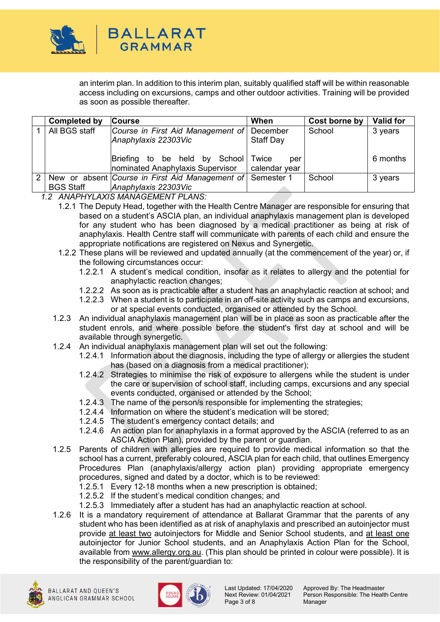

an interim plan. In addition to this interim plan, suitably qualified staff will be within reasonable access including on excursions, camps and other outdoor activities. Training will be provided as soon as possible thereafter.

|               | <b>Completed by</b> | <b>Course</b>                                                          | When                          | Cost borne by | <b>Valid for</b> |
|---------------|---------------------|------------------------------------------------------------------------|-------------------------------|---------------|------------------|
|               | All BGS staff       | Course in First Aid Management of<br>Anaphylaxis 22303Vic              | December<br><b>Staff Day</b>  | School        | 3 years          |
|               |                     | Briefing to be held by<br>School  <br>nominated Anaphylaxis Supervisor | Twice<br>per<br>calendar year |               | 6 months         |
| $\mathcal{P}$ |                     | New or absent Course in First Aid Management of Semester 1             |                               | School        | 3 years          |
|               | <b>BGS Staff</b>    | Anaphylaxis 22303Vic                                                   |                               |               |                  |

*1.2 ANAPHYLAXIS MANAGEMENT PLANS:*

- 1.2.1 The Deputy Head, together with the Health Centre Manager are responsible for ensuring that based on a student's ASCIA plan, an individual anaphylaxis management plan is developed for any student who has been diagnosed by a medical practitioner as being at risk of anaphylaxis. Health Centre staff will communicate with parents of each child and ensure the appropriate notifications are registered on Nexus and Synergetic.
- 1.2.2 These plans will be reviewed and updated annually (at the commencement of the year) or, if the following circumstances occur:
	- 1.2.2.1 A student's medical condition, insofar as it relates to allergy and the potential for anaphylactic reaction changes;
	- 1.2.2.2 As soon as is practicable after a student has an anaphylactic reaction at school; and
	- 1.2.2.3 When a student is to participate in an off-site activity such as camps and excursions, or at special events conducted, organised or attended by the School.
- 1.2.3 An individual anaphylaxis management plan will be in place as soon as practicable after the student enrols, and where possible before the student's first day at school and will be available through synergetic.
- 1.2.4 An individual anaphylaxis management plan will set out the following:
	- 1.2.4.1 Information about the diagnosis, including the type of allergy or allergies the student has (based on a diagnosis from a medical practitioner);
	- 1.2.4.2 Strategies to minimise the risk of exposure to allergens while the student is under the care or supervision of school staff, including camps, excursions and any special events conducted, organised or attended by the School;
	- 1.2.4.3 The name of the person/s responsible for implementing the strategies;
	- 1.2.4.4 Information on where the student's medication will be stored;
	- 1.2.4.5 The student's emergency contact details; and
	- 1.2.4.6 An action plan for anaphylaxis in a format approved by the ASCIA (referred to as an ASCIA Action Plan), provided by the parent or guardian.
- 1.2.5 Parents of children with allergies are required to provide medical information so that the school has a current, preferably coloured, ASCIA plan for each child, that outlines Emergency Procedures Plan (anaphylaxis/allergy action plan) providing appropriate emergency procedures, signed and dated by a doctor, which is to be reviewed:
	- 1.2.5.1 Every 12-18 months when a new prescription is obtained;
	- 1.2.5.2 If the student's medical condition changes; and
	- 1.2.5.3 Immediately after a student has had an anaphylactic reaction at school.
- 1.2.6 It is a mandatory requirement of attendance at Ballarat Grammar that the parents of any student who has been identified as at risk of anaphylaxis and prescribed an autoinjector must provide at least two autoinjectors for Middle and Senior School students, and at least one autoinjector for Junior School students, and an Anaphylaxis Action Plan for the School, available from [www.allergy.org.au.](http://www.allergy.org.au/) (This plan should be printed in colour were possible). It is the responsibility of the parent/guardian to:





Page 3 of 8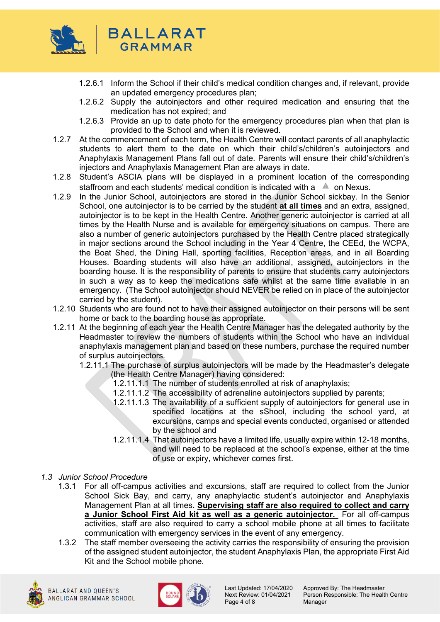

- 1.2.6.1 Inform the School if their child's medical condition changes and, if relevant, provide an updated emergency procedures plan;
- 1.2.6.2 Supply the autoinjectors and other required medication and ensuring that the medication has not expired; and
- 1.2.6.3 Provide an up to date photo for the emergency procedures plan when that plan is provided to the School and when it is reviewed.
- 1.2.7 At the commencement of each term, the Health Centre will contact parents of all anaphylactic students to alert them to the date on which their child's/children's autoinjectors and Anaphylaxis Management Plans fall out of date. Parents will ensure their child's/children's injectors and Anaphylaxis Management Plan are always in date.
- 1.2.8 Student's ASCIA plans will be displayed in a prominent location of the corresponding staffroom and each students' medical condition is indicated with a  $\triangle$  on Nexus.
- 1.2.9 In the Junior School, autoinjectors are stored in the Junior School sickbay. In the Senior School, one autoinjector is to be carried by the student **at all times** and an extra, assigned, autoinjector is to be kept in the Health Centre. Another generic autoinjector is carried at all times by the Health Nurse and is available for emergency situations on campus. There are also a number of generic autoinjectors purchased by the Health Centre placed strategically in major sections around the School including in the Year 4 Centre, the CEEd, the WCPA, the Boat Shed, the Dining Hall, sporting facilities, Reception areas, and in all Boarding Houses. Boarding students will also have an additional, assigned, autoinjectors in the boarding house. It is the responsibility of parents to ensure that students carry autoinjectors in such a way as to keep the medications safe whilst at the same time available in an emergency. (The School autoinjector should NEVER be relied on in place of the autoinjector carried by the student).
- 1.2.10 Students who are found not to have their assigned autoinjector on their persons will be sent home or back to the boarding house as appropriate.
- 1.2.11 At the beginning of each year the Health Centre Manager has the delegated authority by the Headmaster to review the numbers of students within the School who have an individual anaphylaxis management plan and based on these numbers, purchase the required number of surplus autoinjectors.
	- 1.2.11.1 The purchase of surplus autoinjectors will be made by the Headmaster's delegate (the Health Centre Manager) having considered:
		- 1.2.11.1.1 The number of students enrolled at risk of anaphylaxis;
		- 1.2.11.1.2 The accessibility of adrenaline autoinjectors supplied by parents;
		- 1.2.11.1.3 The availability of a sufficient supply of autoinjectors for general use in specified locations at the sShool, including the school yard, at excursions, camps and special events conducted, organised or attended by the school and
		- 1.2.11.1.4 That autoinjectors have a limited life, usually expire within 12-18 months, and will need to be replaced at the school's expense, either at the time of use or expiry, whichever comes first.
- *1.3 Junior School Procedure*
	- 1.3.1 For all off-campus activities and excursions, staff are required to collect from the Junior School Sick Bay, and carry, any anaphylactic student's autoinjector and Anaphylaxis Management Plan at all times. **Supervising staff are also required to collect and carry a Junior School First Aid kit as well as a generic autoinjector.** For all off-campus activities, staff are also required to carry a school mobile phone at all times to facilitate communication with emergency services in the event of any emergency.
	- 1.3.2 The staff member overseeing the activity carries the responsibility of ensuring the provision of the assigned student autoinjector, the student Anaphylaxis Plan, the appropriate First Aid Kit and the School mobile phone.





Page 4 of 8

Last Updated: 17/04/2020 Approved By: The Headmaster<br>Next Review: 01/04/2021 Person Responsible: The Healt Person Responsible: The Health Centre<br>Manager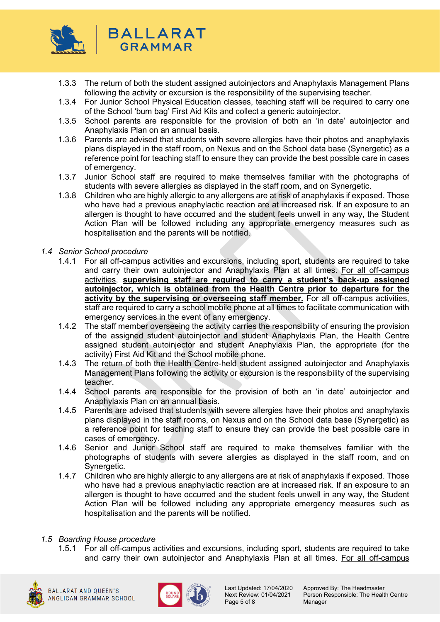

- 1.3.3 The return of both the student assigned autoinjectors and Anaphylaxis Management Plans following the activity or excursion is the responsibility of the supervising teacher.
- 1.3.4 For Junior School Physical Education classes, teaching staff will be required to carry one of the School 'bum bag' First Aid Kits and collect a generic autoinjector.
- 1.3.5 School parents are responsible for the provision of both an 'in date' autoinjector and Anaphylaxis Plan on an annual basis.
- 1.3.6 Parents are advised that students with severe allergies have their photos and anaphylaxis plans displayed in the staff room, on Nexus and on the School data base (Synergetic) as a reference point for teaching staff to ensure they can provide the best possible care in cases of emergency.
- 1.3.7 Junior School staff are required to make themselves familiar with the photographs of students with severe allergies as displayed in the staff room, and on Synergetic.
- 1.3.8 Children who are highly allergic to any allergens are at risk of anaphylaxis if exposed. Those who have had a previous anaphylactic reaction are at increased risk. If an exposure to an allergen is thought to have occurred and the student feels unwell in any way, the Student Action Plan will be followed including any appropriate emergency measures such as hospitalisation and the parents will be notified.
- *1.4 Senior School procedure*
	- 1.4.1 For all off-campus activities and excursions, including sport, students are required to take and carry their own autoinjector and Anaphylaxis Plan at all times. For all off-campus activities, **supervising staff are required to carry a student's back-up assigned autoinjector, which is obtained from the Health Centre prior to departure for the activity by the supervising or overseeing staff member.** For all off-campus activities, staff are required to carry a school mobile phone at all times to facilitate communication with emergency services in the event of any emergency.
	- 1.4.2 The staff member overseeing the activity carries the responsibility of ensuring the provision of the assigned student autoinjector and student Anaphylaxis Plan, the Health Centre assigned student autoinjector and student Anaphylaxis Plan, the appropriate (for the activity) First Aid Kit and the School mobile phone.
	- 1.4.3 The return of both the Health Centre-held student assigned autoinjector and Anaphylaxis Management Plans following the activity or excursion is the responsibility of the supervising teacher.
	- 1.4.4 School parents are responsible for the provision of both an 'in date' autoinjector and Anaphylaxis Plan on an annual basis.
	- 1.4.5 Parents are advised that students with severe allergies have their photos and anaphylaxis plans displayed in the staff rooms, on Nexus and on the School data base (Synergetic) as a reference point for teaching staff to ensure they can provide the best possible care in cases of emergency.
	- 1.4.6 Senior and Junior School staff are required to make themselves familiar with the photographs of students with severe allergies as displayed in the staff room, and on Synergetic.
	- 1.4.7 Children who are highly allergic to any allergens are at risk of anaphylaxis if exposed. Those who have had a previous anaphylactic reaction are at increased risk. If an exposure to an allergen is thought to have occurred and the student feels unwell in any way, the Student Action Plan will be followed including any appropriate emergency measures such as hospitalisation and the parents will be notified.
- *1.5 Boarding House procedure* 
	- 1.5.1 For all off-campus activities and excursions, including sport, students are required to take and carry their own autoinjector and Anaphylaxis Plan at all times. For all off-campus





Page 5 of 8

Last Updated: 17/04/2020 Approved By: The Headmaster<br>Next Review: 01/04/2021 Person Responsible: The Healt Person Responsible: The Health Centre<br>Manager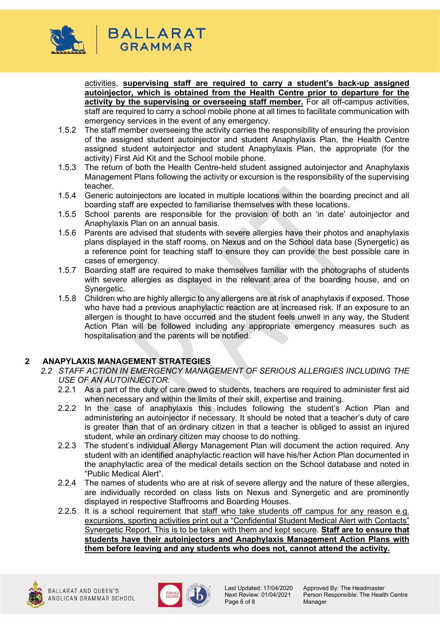

activities, **supervising staff are required to carry a student's back-up assigned autoinjector, which is obtained from the Health Centre prior to departure for the activity by the supervising or overseeing staff member.** For all off-campus activities, staff are required to carry a school mobile phone at all times to facilitate communication with emergency services in the event of any emergency.

- 1.5.2 The staff member overseeing the activity carries the responsibility of ensuring the provision of the assigned student autoinjector and student Anaphylaxis Plan, the Health Centre assigned student autoinjector and student Anaphylaxis Plan, the appropriate (for the activity) First Aid Kit and the School mobile phone.
- 1.5.3 The return of both the Health Centre-held student assigned autoinjector and Anaphylaxis Management Plans following the activity or excursion is the responsibility of the supervising teacher.
- 1.5.4 Generic autoinjectors are located in multiple locations within the boarding precinct and all boarding staff are expected to familiarise themselves with these locations.
- 1.5.5 School parents are responsible for the provision of both an 'in date' autoinjector and Anaphylaxis Plan on an annual basis.
- 1.5.6 Parents are advised that students with severe allergies have their photos and anaphylaxis plans displayed in the staff rooms, on Nexus and on the School data base (Synergetic) as a reference point for teaching staff to ensure they can provide the best possible care in cases of emergency.
- 1.5.7 Boarding staff are required to make themselves familiar with the photographs of students with severe allergies as displayed in the relevant area of the boarding house, and on Synergetic.
- 1.5.8 Children who are highly allergic to any allergens are at risk of anaphylaxis if exposed. Those who have had a previous anaphylactic reaction are at increased risk. If an exposure to an allergen is thought to have occurred and the student feels unwell in any way, the Student Action Plan will be followed including any appropriate emergency measures such as hospitalisation and the parents will be notified.

# **2 ANAPYLAXIS MANAGEMENT STRATEGIES**

- *2.2 STAFF ACTION IN EMERGENCY MANAGEMENT OF SERIOUS ALLERGIES INCLUDING THE USE OF AN AUTOINJECTOR:* 
	- 2.2.1 As a part of the duty of care owed to students, teachers are required to administer first aid when necessary and within the limits of their skill, expertise and training.
	- 2.2.2 In the case of anaphylaxis this includes following the student's Action Plan and administering an autoinjector if necessary. It should be noted that a teacher's duty of care is greater than that of an ordinary citizen in that a teacher is obliged to assist an injured student, while an ordinary citizen may choose to do nothing.
	- 2.2.3 The student's individual Allergy Management Plan will document the action required. Any student with an identified anaphylactic reaction will have his/her Action Plan documented in the anaphylactic area of the medical details section on the School database and noted in "Public Medical Alert".
	- 2.2.4 The names of students who are at risk of severe allergy and the nature of these allergies, are individually recorded on class lists on Nexus and Synergetic and are prominently displayed in respective Staffrooms and Boarding Houses.
	- 2.2.5 It is a school requirement that staff who take students off campus for any reason e.g. excursions, sporting activities print out a "Confidential Student Medical Alert with Contacts" Synergetic Report. This is to be taken with them and kept secure. **Staff are to ensure that students have their autoinjectors and Anaphylaxis Management Action Plans with them before leaving and any students who does not, cannot attend the activity.**



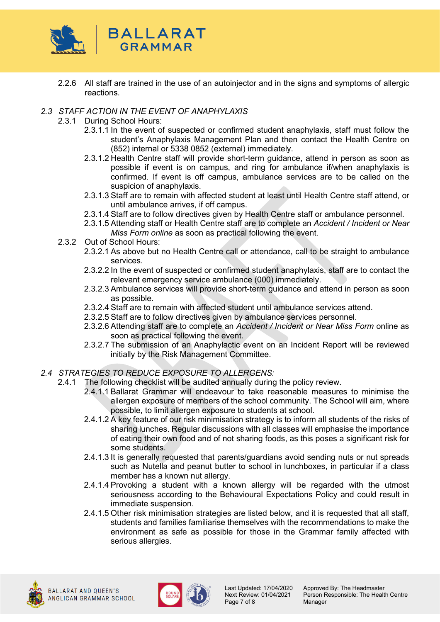

2.2.6 All staff are trained in the use of an autoinjector and in the signs and symptoms of allergic reactions.

# *2.3 STAFF ACTION IN THE EVENT OF ANAPHYLAXIS*

- 2.3.1 During School Hours:
	- 2.3.1.1 In the event of suspected or confirmed student anaphylaxis, staff must follow the student's Anaphylaxis Management Plan and then contact the Health Centre on (852) internal or 5338 0852 (external) immediately.
	- 2.3.1.2 Health Centre staff will provide short-term guidance, attend in person as soon as possible if event is on campus, and ring for ambulance if/when anaphylaxis is confirmed. If event is off campus, ambulance services are to be called on the suspicion of anaphylaxis.
	- 2.3.1.3 Staff are to remain with affected student at least until Health Centre staff attend, or until ambulance arrives, if off campus.
	- 2.3.1.4 Staff are to follow directives given by Health Centre staff or ambulance personnel.
	- 2.3.1.5 Attending staff or Health Centre staff are to complete an *Accident / Incident or Near Miss Form online* as soon as practical following the event.
- 2.3.2 Out of School Hours:
	- 2.3.2.1 As above but no Health Centre call or attendance, call to be straight to ambulance services.
	- 2.3.2.2 In the event of suspected or confirmed student anaphylaxis, staff are to contact the relevant emergency service ambulance (000) immediately.
	- 2.3.2.3 Ambulance services will provide short-term guidance and attend in person as soon as possible.
	- 2.3.2.4 Staff are to remain with affected student until ambulance services attend.
	- 2.3.2.5 Staff are to follow directives given by ambulance services personnel.
	- 2.3.2.6 Attending staff are to complete an *Accident / Incident or Near Miss Form* online as soon as practical following the event.
	- 2.3.2.7 The submission of an Anaphylactic event on an Incident Report will be reviewed initially by the Risk Management Committee.
- *2.4 STRATEGIES TO REDUCE EXPOSURE TO ALLERGENS:*
	- 2.4.1 The following checklist will be audited annually during the policy review.
		- 2.4.1.1 Ballarat Grammar will endeavour to take reasonable measures to minimise the allergen exposure of members of the school community. The School will aim, where possible, to limit allergen exposure to students at school.
		- 2.4.1.2 A key feature of our risk minimisation strategy is to inform all students of the risks of sharing lunches. Regular discussions with all classes will emphasise the importance of eating their own food and of not sharing foods, as this poses a significant risk for some students.
		- 2.4.1.3 It is generally requested that parents/guardians avoid sending nuts or nut spreads such as Nutella and peanut butter to school in lunchboxes, in particular if a class member has a known nut allergy.
		- 2.4.1.4 Provoking a student with a known allergy will be regarded with the utmost seriousness according to the Behavioural Expectations Policy and could result in immediate suspension.
		- 2.4.1.5 Other risk minimisation strategies are listed below, and it is requested that all staff, students and families familiarise themselves with the recommendations to make the environment as safe as possible for those in the Grammar family affected with serious allergies.